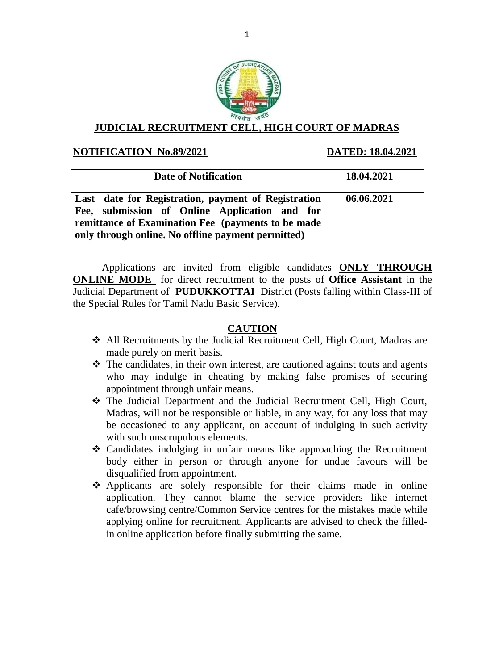

#### **JUDICIAL RECRUITMENT CELL, HIGH COURT OF MADRAS**

#### **NOTIFICATION No.89/2021 DATED:** 18.04.2021

| <b>Date of Notification</b>                                                                                                                                                                                      | 18.04.2021 |
|------------------------------------------------------------------------------------------------------------------------------------------------------------------------------------------------------------------|------------|
| Last date for Registration, payment of Registration<br>Fee, submission of Online Application and for<br>remittance of Examination Fee (payments to be made<br>only through online. No offline payment permitted) | 06.06.2021 |

Applications are invited from eligible candidates **ONLY THROUGH ONLINE MODE** for direct recruitment to the posts of **Office Assistant** in the Judicial Department of **PUDUKKOTTAI** District (Posts falling within Class-III of the Special Rules for Tamil Nadu Basic Service).

## **CAUTION**

- All Recruitments by the Judicial Recruitment Cell, High Court, Madras are made purely on merit basis.
- $\hat{\mathbf{v}}$  The candidates, in their own interest, are cautioned against touts and agents who may indulge in cheating by making false promises of securing appointment through unfair means.
- The Judicial Department and the Judicial Recruitment Cell, High Court, Madras, will not be responsible or liable, in any way, for any loss that may be occasioned to any applicant, on account of indulging in such activity with such unscrupulous elements.
- Candidates indulging in unfair means like approaching the Recruitment body either in person or through anyone for undue favours will be disqualified from appointment.
- Applicants are solely responsible for their claims made in online application. They cannot blame the service providers like internet cafe/browsing centre/Common Service centres for the mistakes made while applying online for recruitment. Applicants are advised to check the filledin online application before finally submitting the same.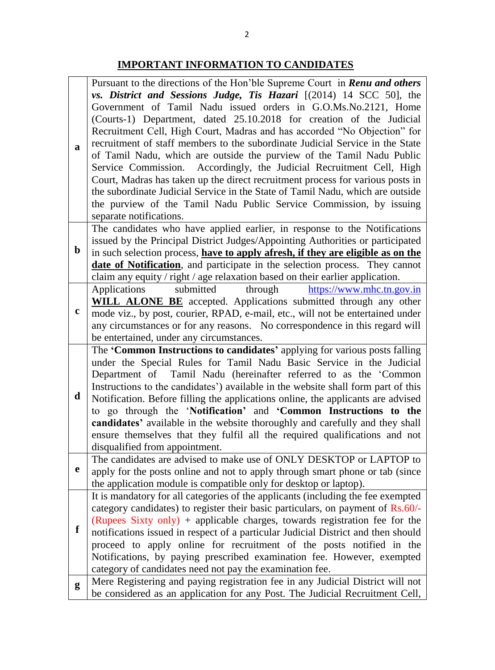# **IMPORTANT INFORMATION TO CANDIDATES**

|                                                                                               | Pursuant to the directions of the Hon'ble Supreme Court in <b>Renu and others</b>                                                                                                                                                                                                                                                                                            |  |  |  |  |
|-----------------------------------------------------------------------------------------------|------------------------------------------------------------------------------------------------------------------------------------------------------------------------------------------------------------------------------------------------------------------------------------------------------------------------------------------------------------------------------|--|--|--|--|
|                                                                                               | vs. District and Sessions Judge, Tis Hazari [(2014) 14 SCC 50], the                                                                                                                                                                                                                                                                                                          |  |  |  |  |
|                                                                                               | Government of Tamil Nadu issued orders in G.O.Ms.No.2121, Home<br>(Courts-1) Department, dated 25.10.2018 for creation of the Judicial<br>Recruitment Cell, High Court, Madras and has accorded "No Objection" for<br>recruitment of staff members to the subordinate Judicial Service in the State<br>of Tamil Nadu, which are outside the purview of the Tamil Nadu Public |  |  |  |  |
|                                                                                               |                                                                                                                                                                                                                                                                                                                                                                              |  |  |  |  |
|                                                                                               |                                                                                                                                                                                                                                                                                                                                                                              |  |  |  |  |
|                                                                                               |                                                                                                                                                                                                                                                                                                                                                                              |  |  |  |  |
| a                                                                                             |                                                                                                                                                                                                                                                                                                                                                                              |  |  |  |  |
|                                                                                               |                                                                                                                                                                                                                                                                                                                                                                              |  |  |  |  |
|                                                                                               | Service Commission. Accordingly, the Judicial Recruitment Cell, High                                                                                                                                                                                                                                                                                                         |  |  |  |  |
|                                                                                               | Court, Madras has taken up the direct recruitment process for various posts in                                                                                                                                                                                                                                                                                               |  |  |  |  |
|                                                                                               | the subordinate Judicial Service in the State of Tamil Nadu, which are outside                                                                                                                                                                                                                                                                                               |  |  |  |  |
|                                                                                               | the purview of the Tamil Nadu Public Service Commission, by issuing                                                                                                                                                                                                                                                                                                          |  |  |  |  |
|                                                                                               | separate notifications.                                                                                                                                                                                                                                                                                                                                                      |  |  |  |  |
|                                                                                               | The candidates who have applied earlier, in response to the Notifications                                                                                                                                                                                                                                                                                                    |  |  |  |  |
|                                                                                               | issued by the Principal District Judges/Appointing Authorities or participated                                                                                                                                                                                                                                                                                               |  |  |  |  |
| $\mathbf b$                                                                                   | in such selection process, have to apply afresh, if they are eligible as on the                                                                                                                                                                                                                                                                                              |  |  |  |  |
|                                                                                               | <b>date of Notification</b> , and participate in the selection process. They cannot                                                                                                                                                                                                                                                                                          |  |  |  |  |
| claim any equity / right / age relaxation based on their earlier application.                 |                                                                                                                                                                                                                                                                                                                                                                              |  |  |  |  |
|                                                                                               | submitted through<br>Applications<br>https://www.mhc.tn.gov.in                                                                                                                                                                                                                                                                                                               |  |  |  |  |
|                                                                                               | <b>WILL ALONE BE</b> accepted. Applications submitted through any other                                                                                                                                                                                                                                                                                                      |  |  |  |  |
| $\mathbf c$<br>mode viz., by post, courier, RPAD, e-mail, etc., will not be entertained under |                                                                                                                                                                                                                                                                                                                                                                              |  |  |  |  |
|                                                                                               | any circumstances or for any reasons. No correspondence in this regard will                                                                                                                                                                                                                                                                                                  |  |  |  |  |
|                                                                                               | be entertained, under any circumstances.                                                                                                                                                                                                                                                                                                                                     |  |  |  |  |
|                                                                                               | The 'Common Instructions to candidates' applying for various posts falling                                                                                                                                                                                                                                                                                                   |  |  |  |  |
|                                                                                               | under the Special Rules for Tamil Nadu Basic Service in the Judicial                                                                                                                                                                                                                                                                                                         |  |  |  |  |
|                                                                                               | Department of Tamil Nadu (hereinafter referred to as the 'Common                                                                                                                                                                                                                                                                                                             |  |  |  |  |
|                                                                                               | Instructions to the candidates') available in the website shall form part of this                                                                                                                                                                                                                                                                                            |  |  |  |  |
| d                                                                                             | Notification. Before filling the applications online, the applicants are advised                                                                                                                                                                                                                                                                                             |  |  |  |  |
|                                                                                               | to go through the 'Notification' and 'Common Instructions to the                                                                                                                                                                                                                                                                                                             |  |  |  |  |
|                                                                                               | candidates' available in the website thoroughly and carefully and they shall                                                                                                                                                                                                                                                                                                 |  |  |  |  |
|                                                                                               | ensure themselves that they fulfil all the required qualifications and not                                                                                                                                                                                                                                                                                                   |  |  |  |  |
|                                                                                               | disqualified from appointment.                                                                                                                                                                                                                                                                                                                                               |  |  |  |  |
|                                                                                               | The candidates are advised to make use of ONLY DESKTOP or LAPTOP to                                                                                                                                                                                                                                                                                                          |  |  |  |  |
| e                                                                                             | apply for the posts online and not to apply through smart phone or tab (since                                                                                                                                                                                                                                                                                                |  |  |  |  |
|                                                                                               | the application module is compatible only for desktop or laptop).                                                                                                                                                                                                                                                                                                            |  |  |  |  |
|                                                                                               | It is mandatory for all categories of the applicants (including the fee exempted                                                                                                                                                                                                                                                                                             |  |  |  |  |
|                                                                                               | category candidates) to register their basic particulars, on payment of Rs.60/-                                                                                                                                                                                                                                                                                              |  |  |  |  |
|                                                                                               |                                                                                                                                                                                                                                                                                                                                                                              |  |  |  |  |
| f                                                                                             | (Rupees Sixty only) + applicable charges, towards registration fee for the                                                                                                                                                                                                                                                                                                   |  |  |  |  |
|                                                                                               | notifications issued in respect of a particular Judicial District and then should                                                                                                                                                                                                                                                                                            |  |  |  |  |
|                                                                                               | proceed to apply online for recruitment of the posts notified in the                                                                                                                                                                                                                                                                                                         |  |  |  |  |
|                                                                                               | Notifications, by paying prescribed examination fee. However, exempted                                                                                                                                                                                                                                                                                                       |  |  |  |  |
|                                                                                               | category of candidates need not pay the examination fee.                                                                                                                                                                                                                                                                                                                     |  |  |  |  |
| g                                                                                             | Mere Registering and paying registration fee in any Judicial District will not                                                                                                                                                                                                                                                                                               |  |  |  |  |
|                                                                                               | be considered as an application for any Post. The Judicial Recruitment Cell,                                                                                                                                                                                                                                                                                                 |  |  |  |  |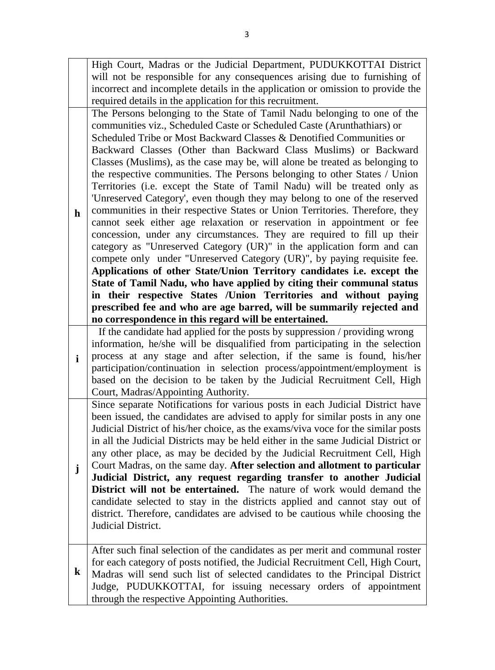High Court, Madras or the Judicial Department, PUDUKKOTTAI District will not be responsible for any consequences arising due to furnishing of incorrect and incomplete details in the application or omission to provide the required details in the application for this recruitment. **h** The Persons belonging to the State of Tamil Nadu belonging to one of the communities viz., Scheduled Caste or Scheduled Caste (Arunthathiars) or Scheduled Tribe or Most Backward Classes & Denotified Communities or Backward Classes (Other than Backward Class Muslims) or Backward Classes (Muslims), as the case may be, will alone be treated as belonging to the respective communities. The Persons belonging to other States / Union Territories (i.e. except the State of Tamil Nadu) will be treated only as 'Unreserved Category', even though they may belong to one of the reserved communities in their respective States or Union Territories. Therefore, they cannot seek either age relaxation or reservation in appointment or fee concession, under any circumstances. They are required to fill up their category as "Unreserved Category (UR)" in the application form and can compete only under "Unreserved Category (UR)", by paying requisite fee. **Applications of other State/Union Territory candidates i.e. except the State of Tamil Nadu, who have applied by citing their communal status in their respective States /Union Territories and without paying prescribed fee and who are age barred, will be summarily rejected and no correspondence in this regard will be entertained. i** If the candidate had applied for the posts by suppression / providing wrong information, he/she will be disqualified from participating in the selection process at any stage and after selection, if the same is found, his/her participation/continuation in selection process/appointment/employment is based on the decision to be taken by the Judicial Recruitment Cell, High Court, Madras/Appointing Authority. **j** Since separate Notifications for various posts in each Judicial District have been issued, the candidates are advised to apply for similar posts in any one Judicial District of his/her choice, as the exams/viva voce for the similar posts in all the Judicial Districts may be held either in the same Judicial District or any other place, as may be decided by the Judicial Recruitment Cell, High Court Madras, on the same day. **After selection and allotment to particular Judicial District, any request regarding transfer to another Judicial District will not be entertained.** The nature of work would demand the candidate selected to stay in the districts applied and cannot stay out of district. Therefore, candidates are advised to be cautious while choosing the Judicial District. **k** After such final selection of the candidates as per merit and communal roster for each category of posts notified, the Judicial Recruitment Cell, High Court, Madras will send such list of selected candidates to the Principal District Judge, PUDUKKOTTAI, for issuing necessary orders of appointment through the respective Appointing Authorities.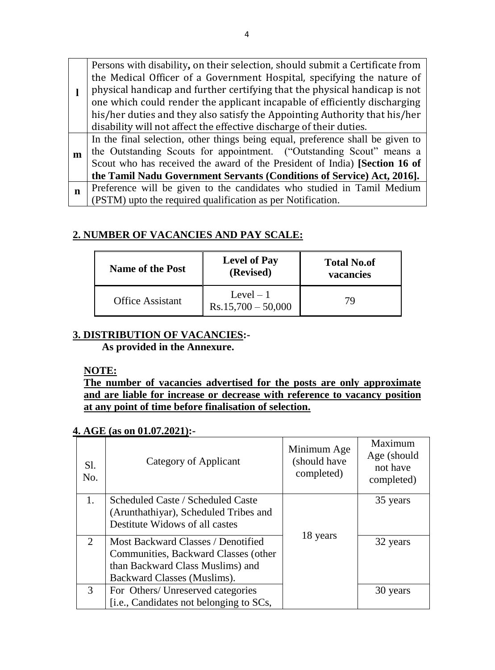|             | Persons with disability, on their selection, should submit a Certificate from  |
|-------------|--------------------------------------------------------------------------------|
|             | the Medical Officer of a Government Hospital, specifying the nature of         |
|             | physical handicap and further certifying that the physical handicap is not     |
|             | one which could render the applicant incapable of efficiently discharging      |
|             | his/her duties and they also satisfy the Appointing Authority that his/her     |
|             | disability will not affect the effective discharge of their duties.            |
|             | In the final selection, other things being equal, preference shall be given to |
| m           | the Outstanding Scouts for appointment. ("Outstanding Scout" means a           |
|             | Scout who has received the award of the President of India) [Section 16 of     |
|             | the Tamil Nadu Government Servants (Conditions of Service) Act, 2016].         |
| $\mathbf n$ | Preference will be given to the candidates who studied in Tamil Medium         |
|             |                                                                                |

## **2. NUMBER OF VACANCIES AND PAY SCALE:**

| <b>Name of the Post</b> | <b>Level of Pay</b><br>(Revised)   | <b>Total No.of</b><br>vacancies |
|-------------------------|------------------------------------|---------------------------------|
| <b>Office Assistant</b> | Level $-1$<br>$Rs.15,700 - 50,000$ | 79                              |

## **3. DISTRIBUTION OF VACANCIES:-**

**As provided in the Annexure.**

## **NOTE:**

**The number of vacancies advertised for the posts are only approximate and are liable for increase or decrease with reference to vacancy position at any point of time before finalisation of selection.**

## **4. AGE (as on 01.07.2021):-**

| Sl.<br>No. | Category of Applicant                                                                                                                         | Minimum Age<br>(should have<br>completed) | Maximum<br>Age (should<br>not have<br>completed) |
|------------|-----------------------------------------------------------------------------------------------------------------------------------------------|-------------------------------------------|--------------------------------------------------|
| 1.         | Scheduled Caste / Scheduled Caste<br>(Arunthathiyar), Scheduled Tribes and<br>Destitute Widows of all castes                                  |                                           | 35 years                                         |
| 2          | Most Backward Classes / Denotified<br>Communities, Backward Classes (other<br>than Backward Class Muslims) and<br>Backward Classes (Muslims). | 18 years                                  | 32 years                                         |
| 3          | For Others/ Unreserved categories<br>[i.e., Candidates not belonging to SCs,                                                                  |                                           | 30 years                                         |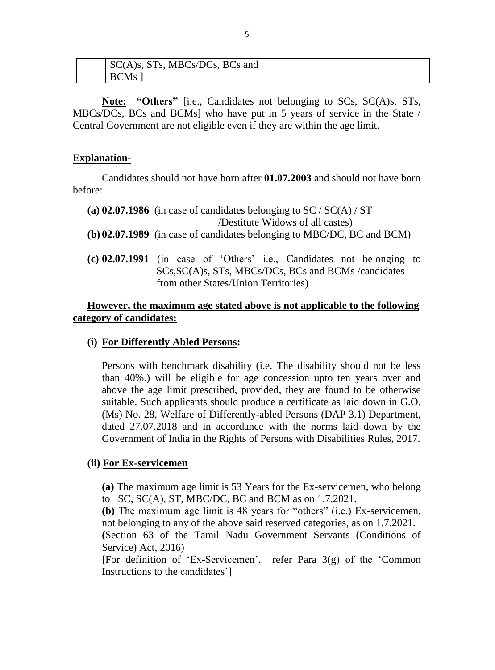| <sup>1</sup> SC(A)s, STs, MBCs/DCs, BCs and |  |
|---------------------------------------------|--|
| <b>BCMs</b>                                 |  |

**Note: "Others"** [i.e., Candidates not belonging to SCs, SC(A)s, STs, MBCs/DCs, BCs and BCMs] who have put in 5 years of service in the State / Central Government are not eligible even if they are within the age limit.

#### **Explanation-**

Candidates should not have born after **01.07.2003** and should not have born before:

| (a) 02.07.1986 (in case of candidates belonging to $SC/SC(A)/ST$                                                                                                                            |  |  |
|---------------------------------------------------------------------------------------------------------------------------------------------------------------------------------------------|--|--|
| /Destitute Widows of all castes)                                                                                                                                                            |  |  |
| $(b)$ 02.07.1989 (in case of candidates belonging to MBC/DC, BC and BCM)                                                                                                                    |  |  |
| $\left( \text{c} \right)$ 02.07.1991 (in case of 'Others' i.e., Candidates not belonging to<br>SCs, SC(A)s, STs, MBCs/DCs, BCs and BCMs /candidates<br>from other States/Union Territories) |  |  |

## **However, the maximum age stated above is not applicable to the following category of candidates:**

#### **(i) For Differently Abled Persons:**

Persons with benchmark disability (i.e. The disability should not be less than 40%.) will be eligible for age concession upto ten years over and above the age limit prescribed, provided, they are found to be otherwise suitable. Such applicants should produce a certificate as laid down in G.O. (Ms) No. 28, Welfare of Differently-abled Persons (DAP 3.1) Department, dated 27.07.2018 and in accordance with the norms laid down by the Government of India in the Rights of Persons with Disabilities Rules, 2017.

#### **(ii) For Ex-servicemen**

**(a)** The maximum age limit is 53 Years for the Ex-servicemen, who belong to SC,  $SC(A)$ , ST, MBC/DC, BC and BCM as on 1.7.2021.

**(b)** The maximum age limit is 48 years for "others" (i.e.) Ex-servicemen, not belonging to any of the above said reserved categories, as on 1.7.2021.

**(**Section 63 of the Tamil Nadu Government Servants (Conditions of Service) Act, 2016)

**[**For definition of "Ex-Servicemen", refer Para 3(g) of the "Common Instructions to the candidates"]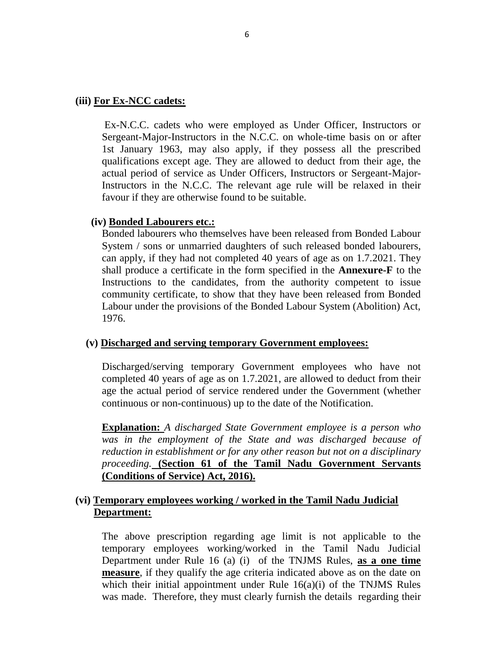#### **(iii) For Ex-NCC cadets:**

Ex-N.C.C. cadets who were employed as Under Officer, Instructors or Sergeant-Major-Instructors in the N.C.C. on whole-time basis on or after 1st January 1963, may also apply, if they possess all the prescribed qualifications except age. They are allowed to deduct from their age, the actual period of service as Under Officers, Instructors or Sergeant-Major-Instructors in the N.C.C. The relevant age rule will be relaxed in their favour if they are otherwise found to be suitable.

#### **(iv) Bonded Labourers etc.:**

Bonded labourers who themselves have been released from Bonded Labour System / sons or unmarried daughters of such released bonded labourers, can apply, if they had not completed 40 years of age as on 1.7.2021. They shall produce a certificate in the form specified in the **Annexure-F** to the Instructions to the candidates, from the authority competent to issue community certificate, to show that they have been released from Bonded Labour under the provisions of the Bonded Labour System (Abolition) Act, 1976.

#### **(v) Discharged and serving temporary Government employees:**

Discharged/serving temporary Government employees who have not completed 40 years of age as on 1.7.2021, are allowed to deduct from their age the actual period of service rendered under the Government (whether continuous or non-continuous) up to the date of the Notification.

**Explanation:** *A discharged State Government employee is a person who was in the employment of the State and was discharged because of reduction in establishment or for any other reason but not on a disciplinary proceeding.* **(Section 61 of the Tamil Nadu Government Servants (Conditions of Service) Act, 2016).**

#### **(vi) Temporary employees working / worked in the Tamil Nadu Judicial Department:**

The above prescription regarding age limit is not applicable to the temporary employees working/worked in the Tamil Nadu Judicial Department under Rule 16 (a) (i) of the TNJMS Rules, **as a one time measure**, if they qualify the age criteria indicated above as on the date on which their initial appointment under Rule 16(a)(i) of the TNJMS Rules was made. Therefore, they must clearly furnish the details regarding their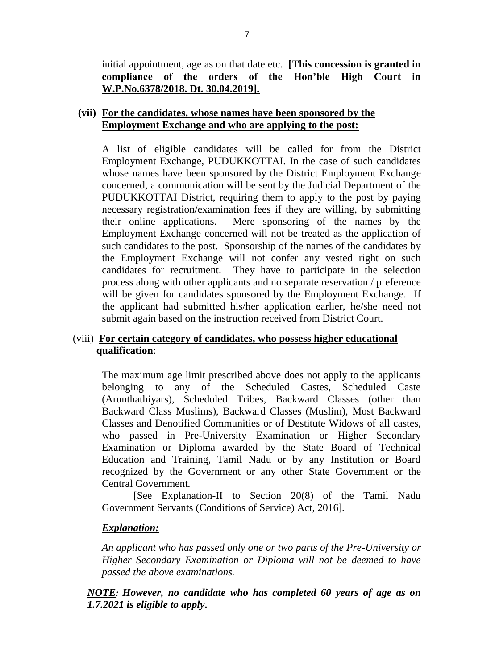initial appointment, age as on that date etc. **[This concession is granted in compliance of the orders of the Hon"ble High Court in W.P.No.6378/2018. Dt. 30.04.2019].**

## **(vii) For the candidates, whose names have been sponsored by the Employment Exchange and who are applying to the post:**

A list of eligible candidates will be called for from the District Employment Exchange, PUDUKKOTTAI. In the case of such candidates whose names have been sponsored by the District Employment Exchange concerned, a communication will be sent by the Judicial Department of the PUDUKKOTTAI District, requiring them to apply to the post by paying necessary registration/examination fees if they are willing, by submitting their online applications. Mere sponsoring of the names by the Employment Exchange concerned will not be treated as the application of such candidates to the post. Sponsorship of the names of the candidates by the Employment Exchange will not confer any vested right on such candidates for recruitment. They have to participate in the selection process along with other applicants and no separate reservation / preference will be given for candidates sponsored by the Employment Exchange. If the applicant had submitted his/her application earlier, he/she need not submit again based on the instruction received from District Court.

## (viii) **For certain category of candidates, who possess higher educational qualification**:

The maximum age limit prescribed above does not apply to the applicants belonging to any of the Scheduled Castes, Scheduled Caste (Arunthathiyars), Scheduled Tribes, Backward Classes (other than Backward Class Muslims), Backward Classes (Muslim), Most Backward Classes and Denotified Communities or of Destitute Widows of all castes, who passed in Pre-University Examination or Higher Secondary Examination or Diploma awarded by the State Board of Technical Education and Training, Tamil Nadu or by any Institution or Board recognized by the Government or any other State Government or the Central Government*.*

 [See Explanation-II to Section 20(8) of the Tamil Nadu Government Servants (Conditions of Service) Act, 2016].

## *Explanation:*

*An applicant who has passed only one or two parts of the Pre-University or Higher Secondary Examination or Diploma will not be deemed to have passed the above examinations.*

*NOTE: However, no candidate who has completed 60 years of age as on 1.7.2021 is eligible to apply***.**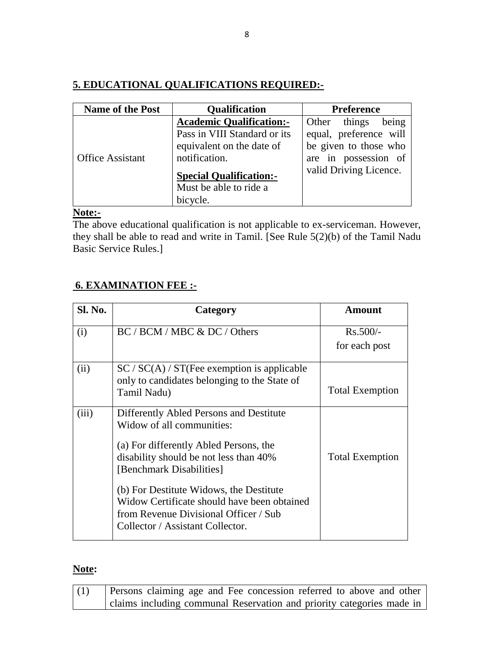## **5. EDUCATIONAL QUALIFICATIONS REQUIRED:-**

| <b>Name of the Post</b> | <b>Qualification</b>                                                                                                                                                      | <b>Preference</b>                                                                                                             |
|-------------------------|---------------------------------------------------------------------------------------------------------------------------------------------------------------------------|-------------------------------------------------------------------------------------------------------------------------------|
| <b>Office Assistant</b> | <b>Academic Qualification:-</b><br>Pass in VIII Standard or its<br>equivalent on the date of<br>notification.<br><b>Special Qualification:-</b><br>Must be able to ride a | being<br>Other<br>things<br>equal, preference will<br>be given to those who<br>are in possession of<br>valid Driving Licence. |
|                         | bicycle.                                                                                                                                                                  |                                                                                                                               |

#### **Note:-**

The above educational qualification is not applicable to ex-serviceman. However, they shall be able to read and write in Tamil. [See Rule 5(2)(b) of the Tamil Nadu Basic Service Rules.]

## **6. EXAMINATION FEE :-**

| <b>Sl. No.</b> | Category                                       | <b>Amount</b>          |
|----------------|------------------------------------------------|------------------------|
| (i)            | BC / BCM / MBC & DC / Others                   | $Rs.500/-$             |
|                |                                                | for each post          |
| (ii)           | $SC / SC(A) / ST$ (Fee exemption is applicable |                        |
|                | only to candidates belonging to the State of   |                        |
|                | Tamil Nadu)                                    | <b>Total Exemption</b> |
| (iii)          | Differently Abled Persons and Destitute        |                        |
|                | Widow of all communities:                      |                        |
|                | (a) For differently Abled Persons, the         |                        |
|                | disability should be not less than 40%         | <b>Total Exemption</b> |
|                | [Benchmark Disabilities]                       |                        |
|                | (b) For Destitute Widows, the Destitute        |                        |
|                | Widow Certificate should have been obtained    |                        |
|                | from Revenue Divisional Officer / Sub          |                        |
|                | Collector / Assistant Collector.               |                        |

## **Note:**

| (1) | Persons claiming age and Fee concession referred to above and other   |
|-----|-----------------------------------------------------------------------|
|     | claims including communal Reservation and priority categories made in |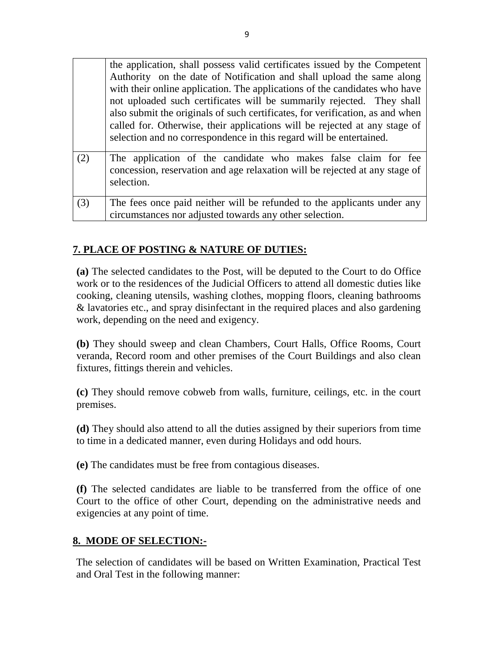|     | the application, shall possess valid certificates issued by the Competent<br>Authority on the date of Notification and shall upload the same along<br>with their online application. The applications of the candidates who have<br>not uploaded such certificates will be summarily rejected. They shall<br>also submit the originals of such certificates, for verification, as and when<br>called for. Otherwise, their applications will be rejected at any stage of<br>selection and no correspondence in this regard will be entertained. |
|-----|-------------------------------------------------------------------------------------------------------------------------------------------------------------------------------------------------------------------------------------------------------------------------------------------------------------------------------------------------------------------------------------------------------------------------------------------------------------------------------------------------------------------------------------------------|
| (2) | The application of the candidate who makes false claim for fee<br>concession, reservation and age relaxation will be rejected at any stage of<br>selection.                                                                                                                                                                                                                                                                                                                                                                                     |
| (3) | The fees once paid neither will be refunded to the applicants under any<br>circumstances nor adjusted towards any other selection.                                                                                                                                                                                                                                                                                                                                                                                                              |

## **7. PLACE OF POSTING & NATURE OF DUTIES:**

**(a)** The selected candidates to the Post, will be deputed to the Court to do Office work or to the residences of the Judicial Officers to attend all domestic duties like cooking, cleaning utensils, washing clothes, mopping floors, cleaning bathrooms & lavatories etc., and spray disinfectant in the required places and also gardening work, depending on the need and exigency.

**(b)** They should sweep and clean Chambers, Court Halls, Office Rooms, Court veranda, Record room and other premises of the Court Buildings and also clean fixtures, fittings therein and vehicles.

**(c)** They should remove cobweb from walls, furniture, ceilings, etc. in the court premises.

**(d)** They should also attend to all the duties assigned by their superiors from time to time in a dedicated manner, even during Holidays and odd hours.

**(e)** The candidates must be free from contagious diseases.

**(f)** The selected candidates are liable to be transferred from the office of one Court to the office of other Court, depending on the administrative needs and exigencies at any point of time.

## **8. MODE OF SELECTION:-**

The selection of candidates will be based on Written Examination, Practical Test and Oral Test in the following manner: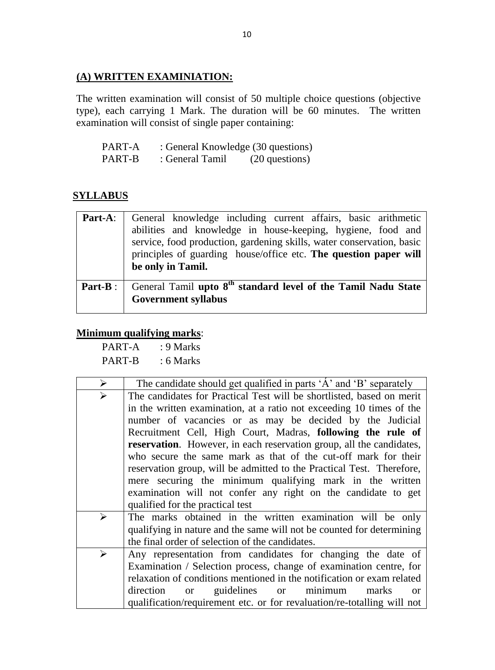## **(A) WRITTEN EXAMINIATION:**

The written examination will consist of 50 multiple choice questions (objective type), each carrying 1 Mark. The duration will be 60 minutes. The written examination will consist of single paper containing:

| PART-A | : General Knowledge (30 questions) |                |
|--------|------------------------------------|----------------|
| PART-B | : General Tamil                    | (20 questions) |

## **SYLLABUS**

| Part-A:   | General knowledge including current affairs, basic arithmetic<br>abilities and knowledge in house-keeping, hygiene, food and<br>service, food production, gardening skills, water conservation, basic<br>principles of guarding house/office etc. The question paper will<br>be only in Tamil. |
|-----------|------------------------------------------------------------------------------------------------------------------------------------------------------------------------------------------------------------------------------------------------------------------------------------------------|
| $Part-B:$ | General Tamil upto 8 <sup>th</sup> standard level of the Tamil Nadu State<br><b>Government syllabus</b>                                                                                                                                                                                        |

## **Minimum qualifying marks**:

PART-A : 9 Marks PART-B : 6 Marks

| $\blacktriangleright$ | The candidate should get qualified in parts 'A' and 'B' separately       |  |  |  |  |  |
|-----------------------|--------------------------------------------------------------------------|--|--|--|--|--|
| ➤                     | The candidates for Practical Test will be shortlisted, based on merit    |  |  |  |  |  |
|                       | in the written examination, at a ratio not exceeding 10 times of the     |  |  |  |  |  |
|                       | number of vacancies or as may be decided by the Judicial                 |  |  |  |  |  |
|                       | Recruitment Cell, High Court, Madras, following the rule of              |  |  |  |  |  |
|                       | reservation. However, in each reservation group, all the candidates,     |  |  |  |  |  |
|                       | who secure the same mark as that of the cut-off mark for their           |  |  |  |  |  |
|                       | reservation group, will be admitted to the Practical Test. Therefore,    |  |  |  |  |  |
|                       | mere securing the minimum qualifying mark in the written                 |  |  |  |  |  |
|                       | examination will not confer any right on the candidate to get            |  |  |  |  |  |
|                       | qualified for the practical test                                         |  |  |  |  |  |
| $\blacktriangleright$ | The marks obtained in the written examination will be only               |  |  |  |  |  |
|                       | qualifying in nature and the same will not be counted for determining    |  |  |  |  |  |
|                       | the final order of selection of the candidates.                          |  |  |  |  |  |
| $\blacktriangleright$ | Any representation from candidates for changing the date of              |  |  |  |  |  |
|                       | Examination / Selection process, change of examination centre, for       |  |  |  |  |  |
|                       | relaxation of conditions mentioned in the notification or exam related   |  |  |  |  |  |
|                       | guidelines<br>or minimum<br>direction<br>marks<br><b>or</b><br><b>or</b> |  |  |  |  |  |
|                       | qualification/requirement etc. or for revaluation/re-totalling will not  |  |  |  |  |  |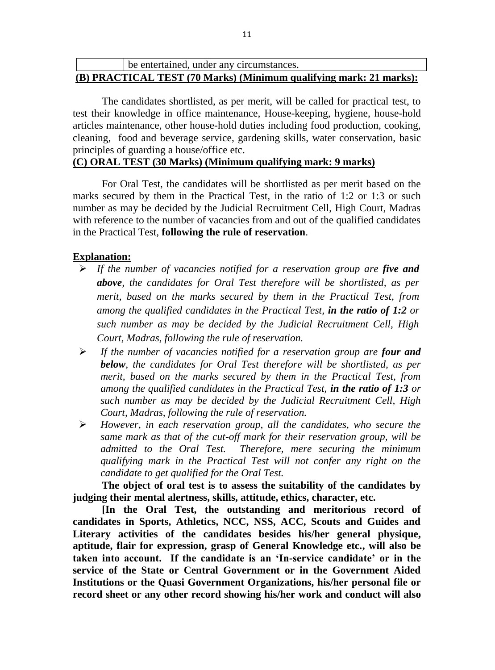## be entertained, under any circumstances. **(B) PRACTICAL TEST (70 Marks) (Minimum qualifying mark: 21 marks):**

The candidates shortlisted, as per merit, will be called for practical test, to test their knowledge in office maintenance, House-keeping, hygiene, house-hold articles maintenance, other house-hold duties including food production, cooking, cleaning, food and beverage service, gardening skills, water conservation, basic principles of guarding a house/office etc.

### **(C) ORAL TEST (30 Marks) (Minimum qualifying mark: 9 marks)**

For Oral Test, the candidates will be shortlisted as per merit based on the marks secured by them in the Practical Test, in the ratio of 1:2 or 1:3 or such number as may be decided by the Judicial Recruitment Cell, High Court, Madras with reference to the number of vacancies from and out of the qualified candidates in the Practical Test, **following the rule of reservation**.

#### **Explanation:**

- *If the number of vacancies notified for a reservation group are five and above, the candidates for Oral Test therefore will be shortlisted, as per merit, based on the marks secured by them in the Practical Test, from among the qualified candidates in the Practical Test, in the ratio of 1:2 or such number as may be decided by the Judicial Recruitment Cell, High Court, Madras, following the rule of reservation.*
- *If the number of vacancies notified for a reservation group are four and below, the candidates for Oral Test therefore will be shortlisted, as per merit, based on the marks secured by them in the Practical Test, from among the qualified candidates in the Practical Test, in the ratio of 1:3 or such number as may be decided by the Judicial Recruitment Cell, High Court, Madras, following the rule of reservation.*
- *However, in each reservation group, all the candidates, who secure the same mark as that of the cut-off mark for their reservation group, will be admitted to the Oral Test. Therefore, mere securing the minimum qualifying mark in the Practical Test will not confer any right on the candidate to get qualified for the Oral Test.*

**The object of oral test is to assess the suitability of the candidates by judging their mental alertness, skills, attitude, ethics, character, etc.**

**[In the Oral Test, the outstanding and meritorious record of candidates in Sports, Athletics, NCC, NSS, ACC, Scouts and Guides and Literary activities of the candidates besides his/her general physique, aptitude, flair for expression, grasp of General Knowledge etc., will also be taken into account. If the candidate is an "In-service candidate" or in the service of the State or Central Government or in the Government Aided Institutions or the Quasi Government Organizations, his/her personal file or record sheet or any other record showing his/her work and conduct will also**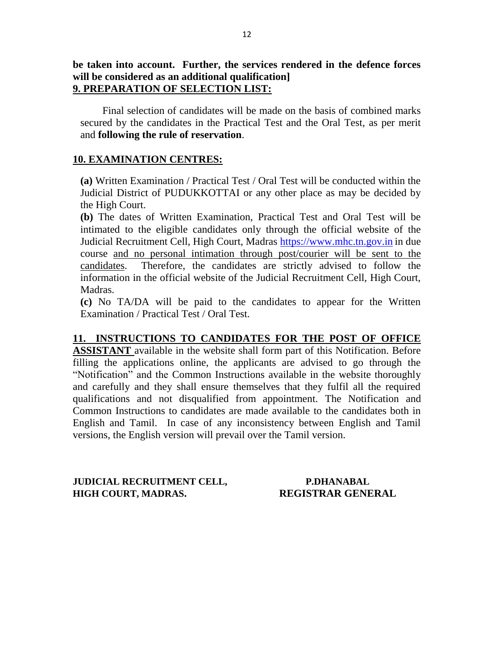Final selection of candidates will be made on the basis of combined marks secured by the candidates in the Practical Test and the Oral Test, as per merit and **following the rule of reservation**.

## **10. EXAMINATION CENTRES:**

**(a)** Written Examination / Practical Test / Oral Test will be conducted within the Judicial District of PUDUKKOTTAI or any other place as may be decided by the High Court.

**(b)** The dates of Written Examination, Practical Test and Oral Test will be intimated to the eligible candidates only through the official website of the Judicial Recruitment Cell, High Court, Madras [https://www.mhc.tn.gov.in](https://www.mhc.tn.gov.in/) in due course and no personal intimation through post/courier will be sent to the candidates. Therefore, the candidates are strictly advised to follow the information in the official website of the Judicial Recruitment Cell, High Court, Madras.

**(c)** No TA/DA will be paid to the candidates to appear for the Written Examination / Practical Test / Oral Test.

## **11. INSTRUCTIONS TO CANDIDATES FOR THE POST OF OFFICE**

**ASSISTANT** available in the website shall form part of this Notification. Before filling the applications online, the applicants are advised to go through the "Notification" and the Common Instructions available in the website thoroughly and carefully and they shall ensure themselves that they fulfil all the required qualifications and not disqualified from appointment. The Notification and Common Instructions to candidates are made available to the candidates both in English and Tamil. In case of any inconsistency between English and Tamil versions, the English version will prevail over the Tamil version.

**JUDICIAL RECRUITMENT CELL, P.DHANABAL HIGH COURT, MADRAS. REGISTRAR GENERAL**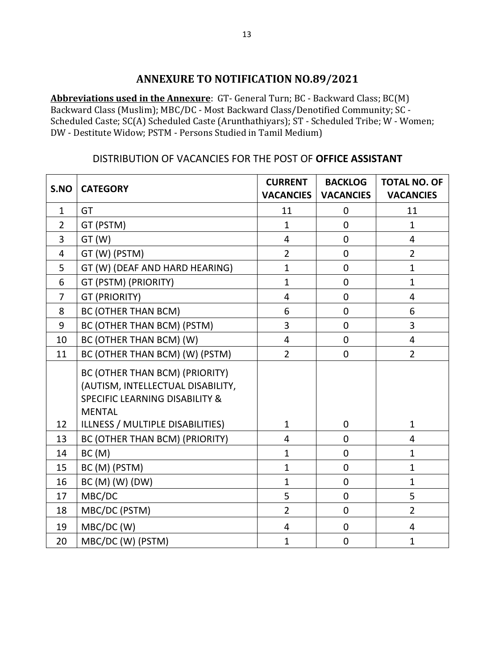## **ANNEXURE TO NOTIFICATION NO.89/2021**

**Abbreviations used in the Annexure**: GT- General Turn; BC - Backward Class; BC(M) Backward Class (Muslim); MBC/DC - Most Backward Class/Denotified Community; SC - Scheduled Caste; SC(A) Scheduled Caste (Arunthathiyars); ST - Scheduled Tribe; W - Women; DW - Destitute Widow; PSTM - Persons Studied in Tamil Medium)

| S.NO           | <b>CATEGORY</b>                                                                                                                   | <b>CURRENT</b><br><b>VACANCIES</b> | <b>BACKLOG</b><br><b>VACANCIES</b> | <b>TOTAL NO. OF</b><br><b>VACANCIES</b> |
|----------------|-----------------------------------------------------------------------------------------------------------------------------------|------------------------------------|------------------------------------|-----------------------------------------|
| $\mathbf{1}$   | GT                                                                                                                                | 11                                 | $\mathbf 0$                        | 11                                      |
| $\overline{2}$ | GT (PSTM)                                                                                                                         | $\mathbf{1}$                       | $\overline{0}$                     | $\mathbf{1}$                            |
| $\overline{3}$ | GT(W)                                                                                                                             | $\overline{4}$                     | $\overline{0}$                     | $\overline{4}$                          |
| 4              | GT (W) (PSTM)                                                                                                                     | $\overline{2}$                     | $\overline{0}$                     | $\overline{2}$                          |
| 5              | GT (W) (DEAF AND HARD HEARING)                                                                                                    | $\mathbf{1}$                       | $\overline{0}$                     | $\mathbf{1}$                            |
| 6              | GT (PSTM) (PRIORITY)                                                                                                              | $\mathbf{1}$                       | $\mathbf 0$                        | $\mathbf{1}$                            |
| $\overline{7}$ | <b>GT (PRIORITY)</b>                                                                                                              | $\overline{4}$                     | $\overline{0}$                     | $\overline{4}$                          |
| 8              | <b>BC (OTHER THAN BCM)</b>                                                                                                        | 6                                  | $\overline{0}$                     | 6                                       |
| 9              | BC (OTHER THAN BCM) (PSTM)                                                                                                        | 3                                  | $\overline{0}$                     | 3                                       |
| 10             | BC (OTHER THAN BCM) (W)                                                                                                           | $\overline{4}$                     | $\mathbf 0$                        | $\overline{4}$                          |
| 11             | BC (OTHER THAN BCM) (W) (PSTM)                                                                                                    | $\overline{2}$                     | $\overline{0}$                     | $\overline{2}$                          |
|                | BC (OTHER THAN BCM) (PRIORITY)<br>(AUTISM, INTELLECTUAL DISABILITY,<br><b>SPECIFIC LEARNING DISABILITY &amp;</b><br><b>MENTAL</b> |                                    |                                    |                                         |
| 12             | ILLNESS / MULTIPLE DISABILITIES)                                                                                                  | $\mathbf{1}$                       | $\overline{0}$                     | $\mathbf{1}$                            |
| 13             | BC (OTHER THAN BCM) (PRIORITY)                                                                                                    | 4                                  | $\overline{0}$                     | 4                                       |
| 14             | BC(M)                                                                                                                             | $\mathbf{1}$                       | $\overline{0}$                     | $\mathbf{1}$                            |
| 15             | BC (M) (PSTM)                                                                                                                     | $\mathbf{1}$                       | $\overline{0}$                     | $\mathbf{1}$                            |
| 16             | BC (M) (W) (DW)                                                                                                                   | $\mathbf{1}$                       | $\overline{0}$                     | $\mathbf{1}$                            |
| 17             | MBC/DC                                                                                                                            | 5                                  | $\overline{0}$                     | 5                                       |
| 18             | MBC/DC (PSTM)                                                                                                                     | $\overline{2}$                     | $\overline{0}$                     | $\overline{2}$                          |
| 19             | MBC/DC (W)                                                                                                                        | $\overline{4}$                     | $\overline{0}$                     | $\overline{4}$                          |
| 20             | MBC/DC (W) (PSTM)                                                                                                                 | $\mathbf{1}$                       | $\mathbf 0$                        | $\mathbf{1}$                            |

## DISTRIBUTION OF VACANCIES FOR THE POST OF **OFFICE ASSISTANT**